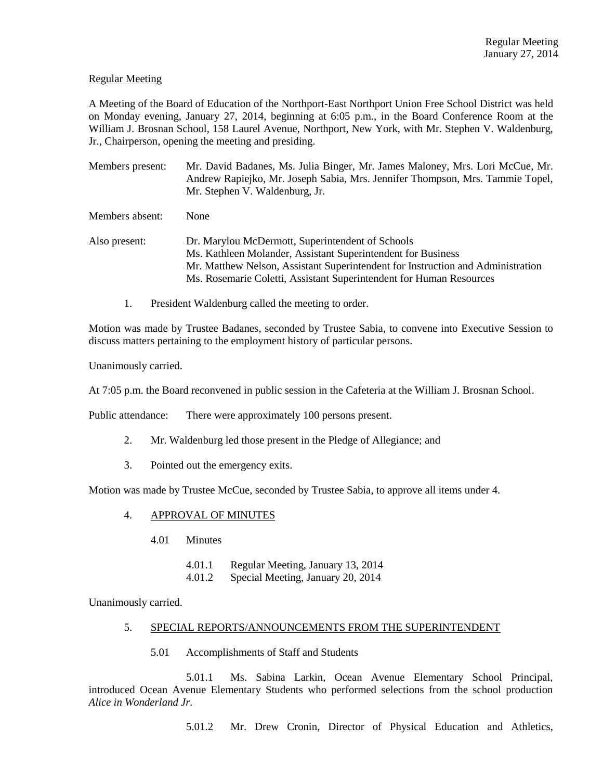### Regular Meeting

A Meeting of the Board of Education of the Northport-East Northport Union Free School District was held on Monday evening, January 27, 2014, beginning at 6:05 p.m., in the Board Conference Room at the William J. Brosnan School, 158 Laurel Avenue, Northport, New York, with Mr. Stephen V. Waldenburg, Jr., Chairperson, opening the meeting and presiding.

Members present: Mr. David Badanes, Ms. Julia Binger, Mr. James Maloney, Mrs. Lori McCue, Mr. Andrew Rapiejko, Mr. Joseph Sabia, Mrs. Jennifer Thompson, Mrs. Tammie Topel, Mr. Stephen V. Waldenburg, Jr.

Members absent: None

Also present: Dr. Marylou McDermott, Superintendent of Schools Ms. Kathleen Molander, Assistant Superintendent for Business Mr. Matthew Nelson, Assistant Superintendent for Instruction and Administration Ms. Rosemarie Coletti, Assistant Superintendent for Human Resources

1. President Waldenburg called the meeting to order.

Motion was made by Trustee Badanes, seconded by Trustee Sabia, to convene into Executive Session to discuss matters pertaining to the employment history of particular persons.

Unanimously carried.

At 7:05 p.m. the Board reconvened in public session in the Cafeteria at the William J. Brosnan School.

Public attendance: There were approximately 100 persons present.

- 2. Mr. Waldenburg led those present in the Pledge of Allegiance; and
- 3. Pointed out the emergency exits.

Motion was made by Trustee McCue, seconded by Trustee Sabia, to approve all items under 4.

- 4. APPROVAL OF MINUTES
	- 4.01 Minutes
		- 4.01.1 Regular Meeting, January 13, 2014
		- 4.01.2 Special Meeting, January 20, 2014

Unanimously carried.

### 5. SPECIAL REPORTS/ANNOUNCEMENTS FROM THE SUPERINTENDENT

5.01 Accomplishments of Staff and Students

5.01.1 Ms. Sabina Larkin, Ocean Avenue Elementary School Principal, introduced Ocean Avenue Elementary Students who performed selections from the school production *Alice in Wonderland Jr.*

5.01.2 Mr. Drew Cronin, Director of Physical Education and Athletics,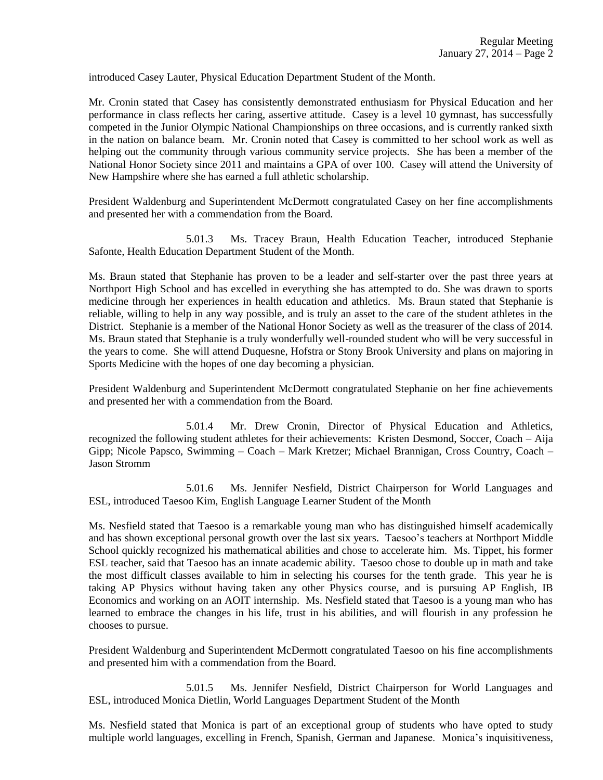introduced Casey Lauter, Physical Education Department Student of the Month.

Mr. Cronin stated that Casey has consistently demonstrated enthusiasm for Physical Education and her performance in class reflects her caring, assertive attitude. Casey is a level 10 gymnast, has successfully competed in the Junior Olympic National Championships on three occasions, and is currently ranked sixth in the nation on balance beam. Mr. Cronin noted that Casey is committed to her school work as well as helping out the community through various community service projects. She has been a member of the National Honor Society since 2011 and maintains a GPA of over 100. Casey will attend the University of New Hampshire where she has earned a full athletic scholarship.

President Waldenburg and Superintendent McDermott congratulated Casey on her fine accomplishments and presented her with a commendation from the Board.

5.01.3 Ms. Tracey Braun, Health Education Teacher, introduced Stephanie Safonte, Health Education Department Student of the Month.

Ms. Braun stated that Stephanie has proven to be a leader and self-starter over the past three years at Northport High School and has excelled in everything she has attempted to do. She was drawn to sports medicine through her experiences in health education and athletics. Ms. Braun stated that Stephanie is reliable, willing to help in any way possible, and is truly an asset to the care of the student athletes in the District. Stephanie is a member of the National Honor Society as well as the treasurer of the class of 2014. Ms. Braun stated that Stephanie is a truly wonderfully well-rounded student who will be very successful in the years to come. She will attend Duquesne, Hofstra or Stony Brook University and plans on majoring in Sports Medicine with the hopes of one day becoming a physician.

President Waldenburg and Superintendent McDermott congratulated Stephanie on her fine achievements and presented her with a commendation from the Board.

5.01.4 Mr. Drew Cronin, Director of Physical Education and Athletics, recognized the following student athletes for their achievements: Kristen Desmond, Soccer, Coach – Aija Gipp; Nicole Papsco, Swimming – Coach – Mark Kretzer; Michael Brannigan, Cross Country, Coach – Jason Stromm

5.01.6 Ms. Jennifer Nesfield, District Chairperson for World Languages and ESL, introduced Taesoo Kim, English Language Learner Student of the Month

Ms. Nesfield stated that Taesoo is a remarkable young man who has distinguished himself academically and has shown exceptional personal growth over the last six years. Taesoo's teachers at Northport Middle School quickly recognized his mathematical abilities and chose to accelerate him. Ms. Tippet, his former ESL teacher, said that Taesoo has an innate academic ability. Taesoo chose to double up in math and take the most difficult classes available to him in selecting his courses for the tenth grade. This year he is taking AP Physics without having taken any other Physics course, and is pursuing AP English, IB Economics and working on an AOIT internship. Ms. Nesfield stated that Taesoo is a young man who has learned to embrace the changes in his life, trust in his abilities, and will flourish in any profession he chooses to pursue.

President Waldenburg and Superintendent McDermott congratulated Taesoo on his fine accomplishments and presented him with a commendation from the Board.

5.01.5 Ms. Jennifer Nesfield, District Chairperson for World Languages and ESL, introduced Monica Dietlin, World Languages Department Student of the Month

Ms. Nesfield stated that Monica is part of an exceptional group of students who have opted to study multiple world languages, excelling in French, Spanish, German and Japanese. Monica's inquisitiveness,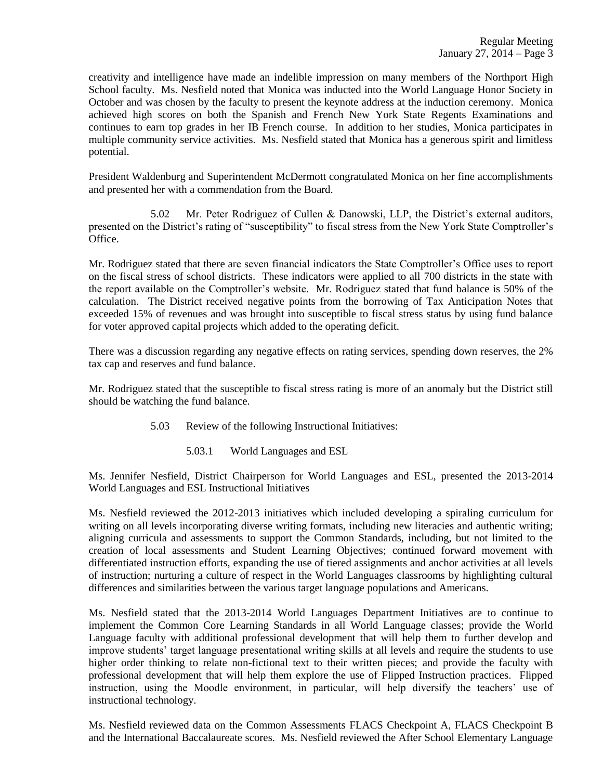creativity and intelligence have made an indelible impression on many members of the Northport High School faculty. Ms. Nesfield noted that Monica was inducted into the World Language Honor Society in October and was chosen by the faculty to present the keynote address at the induction ceremony. Monica achieved high scores on both the Spanish and French New York State Regents Examinations and continues to earn top grades in her IB French course. In addition to her studies, Monica participates in multiple community service activities. Ms. Nesfield stated that Monica has a generous spirit and limitless potential.

President Waldenburg and Superintendent McDermott congratulated Monica on her fine accomplishments and presented her with a commendation from the Board.

5.02 Mr. Peter Rodriguez of Cullen & Danowski, LLP, the District's external auditors, presented on the District's rating of "susceptibility" to fiscal stress from the New York State Comptroller's Office.

Mr. Rodriguez stated that there are seven financial indicators the State Comptroller's Office uses to report on the fiscal stress of school districts. These indicators were applied to all 700 districts in the state with the report available on the Comptroller's website. Mr. Rodriguez stated that fund balance is 50% of the calculation. The District received negative points from the borrowing of Tax Anticipation Notes that exceeded 15% of revenues and was brought into susceptible to fiscal stress status by using fund balance for voter approved capital projects which added to the operating deficit.

There was a discussion regarding any negative effects on rating services, spending down reserves, the 2% tax cap and reserves and fund balance.

Mr. Rodriguez stated that the susceptible to fiscal stress rating is more of an anomaly but the District still should be watching the fund balance.

- 5.03 Review of the following Instructional Initiatives:
	- 5.03.1 World Languages and ESL

Ms. Jennifer Nesfield, District Chairperson for World Languages and ESL, presented the 2013-2014 World Languages and ESL Instructional Initiatives

Ms. Nesfield reviewed the 2012-2013 initiatives which included developing a spiraling curriculum for writing on all levels incorporating diverse writing formats, including new literacies and authentic writing; aligning curricula and assessments to support the Common Standards, including, but not limited to the creation of local assessments and Student Learning Objectives; continued forward movement with differentiated instruction efforts, expanding the use of tiered assignments and anchor activities at all levels of instruction; nurturing a culture of respect in the World Languages classrooms by highlighting cultural differences and similarities between the various target language populations and Americans.

Ms. Nesfield stated that the 2013-2014 World Languages Department Initiatives are to continue to implement the Common Core Learning Standards in all World Language classes; provide the World Language faculty with additional professional development that will help them to further develop and improve students' target language presentational writing skills at all levels and require the students to use higher order thinking to relate non-fictional text to their written pieces; and provide the faculty with professional development that will help them explore the use of Flipped Instruction practices. Flipped instruction, using the Moodle environment, in particular, will help diversify the teachers' use of instructional technology.

Ms. Nesfield reviewed data on the Common Assessments FLACS Checkpoint A, FLACS Checkpoint B and the International Baccalaureate scores. Ms. Nesfield reviewed the After School Elementary Language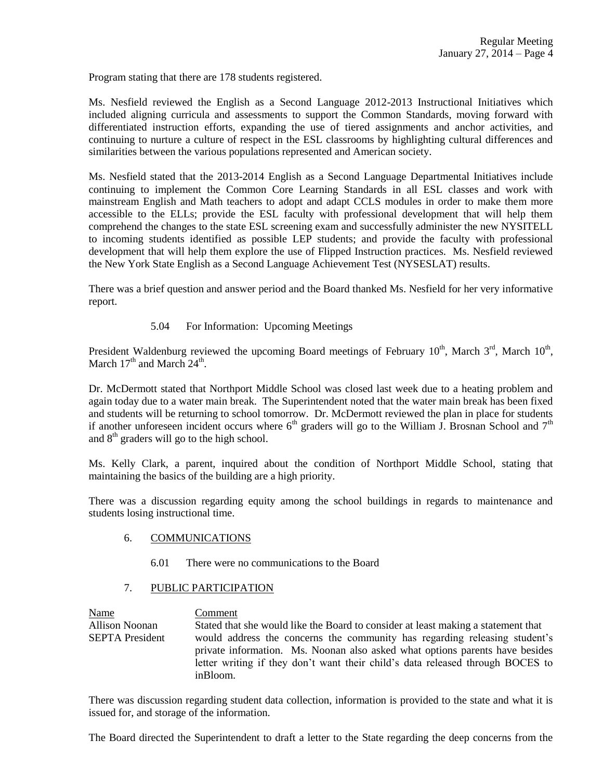Program stating that there are 178 students registered.

Ms. Nesfield reviewed the English as a Second Language 2012-2013 Instructional Initiatives which included aligning curricula and assessments to support the Common Standards, moving forward with differentiated instruction efforts, expanding the use of tiered assignments and anchor activities, and continuing to nurture a culture of respect in the ESL classrooms by highlighting cultural differences and similarities between the various populations represented and American society.

Ms. Nesfield stated that the 2013-2014 English as a Second Language Departmental Initiatives include continuing to implement the Common Core Learning Standards in all ESL classes and work with mainstream English and Math teachers to adopt and adapt CCLS modules in order to make them more accessible to the ELLs; provide the ESL faculty with professional development that will help them comprehend the changes to the state ESL screening exam and successfully administer the new NYSITELL to incoming students identified as possible LEP students; and provide the faculty with professional development that will help them explore the use of Flipped Instruction practices. Ms. Nesfield reviewed the New York State English as a Second Language Achievement Test (NYSESLAT) results.

There was a brief question and answer period and the Board thanked Ms. Nesfield for her very informative report.

5.04 For Information: Upcoming Meetings

President Waldenburg reviewed the upcoming Board meetings of February  $10^{th}$ , March  $3^{rd}$ , March  $10^{th}$ , March  $17<sup>th</sup>$  and March  $24<sup>th</sup>$ .

Dr. McDermott stated that Northport Middle School was closed last week due to a heating problem and again today due to a water main break. The Superintendent noted that the water main break has been fixed and students will be returning to school tomorrow. Dr. McDermott reviewed the plan in place for students if another unforeseen incident occurs where  $6<sup>th</sup>$  graders will go to the William J. Brosnan School and  $7<sup>th</sup>$ and  $8<sup>th</sup>$  graders will go to the high school.

Ms. Kelly Clark, a parent, inquired about the condition of Northport Middle School, stating that maintaining the basics of the building are a high priority.

There was a discussion regarding equity among the school buildings in regards to maintenance and students losing instructional time.

- 6. COMMUNICATIONS
	- 6.01 There were no communications to the Board

### 7. PUBLIC PARTICIPATION

Name Comment Allison Noonan Stated that she would like the Board to consider at least making a statement that SEPTA President would address the concerns the community has regarding releasing student's private information. Ms. Noonan also asked what options parents have besides letter writing if they don't want their child's data released through BOCES to inBloom.

There was discussion regarding student data collection, information is provided to the state and what it is issued for, and storage of the information.

The Board directed the Superintendent to draft a letter to the State regarding the deep concerns from the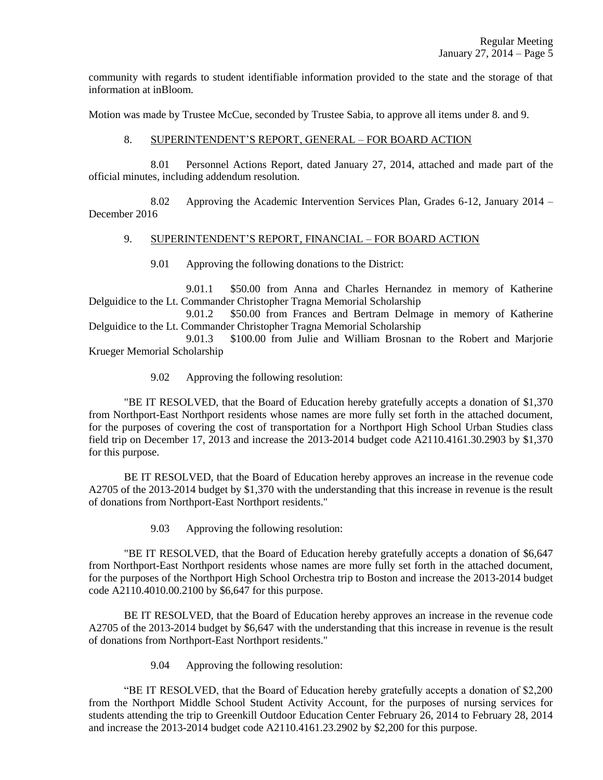community with regards to student identifiable information provided to the state and the storage of that information at inBloom.

Motion was made by Trustee McCue, seconded by Trustee Sabia, to approve all items under 8. and 9.

# 8. SUPERINTENDENT'S REPORT, GENERAL – FOR BOARD ACTION

8.01 Personnel Actions Report, dated January 27, 2014, attached and made part of the official minutes, including addendum resolution.

8.02 Approving the Academic Intervention Services Plan, Grades 6-12, January 2014 – December 2016

# 9. SUPERINTENDENT'S REPORT, FINANCIAL – FOR BOARD ACTION

9.01 Approving the following donations to the District:

9.01.1 \$50.00 from Anna and Charles Hernandez in memory of Katherine Delguidice to the Lt. Commander Christopher Tragna Memorial Scholarship

9.01.2 \$50.00 from Frances and Bertram Delmage in memory of Katherine Delguidice to the Lt. Commander Christopher Tragna Memorial Scholarship

9.01.3 \$100.00 from Julie and William Brosnan to the Robert and Marjorie Krueger Memorial Scholarship

9.02 Approving the following resolution:

"BE IT RESOLVED, that the Board of Education hereby gratefully accepts a donation of \$1,370 from Northport-East Northport residents whose names are more fully set forth in the attached document, for the purposes of covering the cost of transportation for a Northport High School Urban Studies class field trip on December 17, 2013 and increase the 2013-2014 budget code A2110.4161.30.2903 by \$1,370 for this purpose.

BE IT RESOLVED, that the Board of Education hereby approves an increase in the revenue code A2705 of the 2013-2014 budget by \$1,370 with the understanding that this increase in revenue is the result of donations from Northport-East Northport residents."

9.03 Approving the following resolution:

"BE IT RESOLVED, that the Board of Education hereby gratefully accepts a donation of \$6,647 from Northport-East Northport residents whose names are more fully set forth in the attached document, for the purposes of the Northport High School Orchestra trip to Boston and increase the 2013-2014 budget code A2110.4010.00.2100 by \$6,647 for this purpose.

BE IT RESOLVED, that the Board of Education hereby approves an increase in the revenue code A2705 of the 2013-2014 budget by \$6,647 with the understanding that this increase in revenue is the result of donations from Northport-East Northport residents."

9.04 Approving the following resolution:

"BE IT RESOLVED, that the Board of Education hereby gratefully accepts a donation of \$2,200 from the Northport Middle School Student Activity Account, for the purposes of nursing services for students attending the trip to Greenkill Outdoor Education Center February 26, 2014 to February 28, 2014 and increase the 2013-2014 budget code A2110.4161.23.2902 by \$2,200 for this purpose.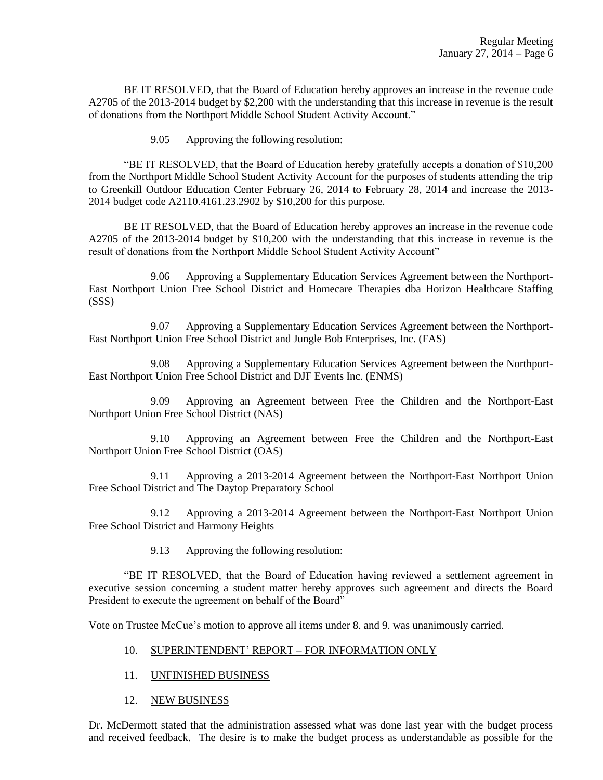BE IT RESOLVED, that the Board of Education hereby approves an increase in the revenue code A2705 of the 2013-2014 budget by \$2,200 with the understanding that this increase in revenue is the result of donations from the Northport Middle School Student Activity Account."

9.05 Approving the following resolution:

"BE IT RESOLVED, that the Board of Education hereby gratefully accepts a donation of \$10,200 from the Northport Middle School Student Activity Account for the purposes of students attending the trip to Greenkill Outdoor Education Center February 26, 2014 to February 28, 2014 and increase the 2013- 2014 budget code A2110.4161.23.2902 by \$10,200 for this purpose.

BE IT RESOLVED, that the Board of Education hereby approves an increase in the revenue code A2705 of the 2013-2014 budget by \$10,200 with the understanding that this increase in revenue is the result of donations from the Northport Middle School Student Activity Account"

9.06 Approving a Supplementary Education Services Agreement between the Northport-East Northport Union Free School District and Homecare Therapies dba Horizon Healthcare Staffing (SSS)

9.07 Approving a Supplementary Education Services Agreement between the Northport-East Northport Union Free School District and Jungle Bob Enterprises, Inc. (FAS)

9.08 Approving a Supplementary Education Services Agreement between the Northport-East Northport Union Free School District and DJF Events Inc. (ENMS)

9.09 Approving an Agreement between Free the Children and the Northport-East Northport Union Free School District (NAS)

9.10 Approving an Agreement between Free the Children and the Northport-East Northport Union Free School District (OAS)

9.11 Approving a 2013-2014 Agreement between the Northport-East Northport Union Free School District and The Daytop Preparatory School

9.12 Approving a 2013-2014 Agreement between the Northport-East Northport Union Free School District and Harmony Heights

9.13 Approving the following resolution:

"BE IT RESOLVED, that the Board of Education having reviewed a settlement agreement in executive session concerning a student matter hereby approves such agreement and directs the Board President to execute the agreement on behalf of the Board"

Vote on Trustee McCue's motion to approve all items under 8. and 9. was unanimously carried.

- 10. SUPERINTENDENT' REPORT FOR INFORMATION ONLY
- 11. UNFINISHED BUSINESS
- 12. NEW BUSINESS

Dr. McDermott stated that the administration assessed what was done last year with the budget process and received feedback. The desire is to make the budget process as understandable as possible for the